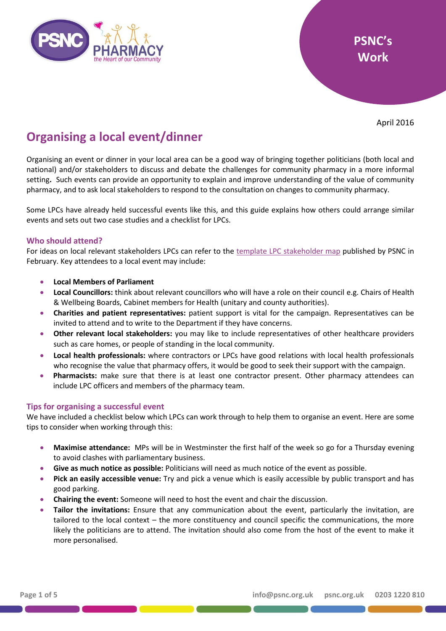

April 2016

# **Organising a local event/dinner**

Organising an event or dinner in your local area can be a good way of bringing together politicians (both local and national) and/or stakeholders to discuss and debate the challenges for community pharmacy in a more informal setting**.** Such events can provide an opportunity to explain and improve understanding of the value of community pharmacy, and to ask local stakeholders to respond to the consultation on changes to community pharmacy.

Some LPCs have already held successful events like this, and this guide explains how others could arrange similar events and sets out two case studies and a checklist for LPCs.

#### **Who should attend?**

For ideas on local relevant stakeholders LPCs can refer to the [template LPC stakeholder map](http://psnc.org.uk/wp-content/uploads/2013/04/Template-LPC-stakeholder-map.pptx) published by PSNC in February. Key attendees to a local event may include:

- **Local Members of Parliament**
- **Local Councillors:** think about relevant councillors who will have a role on their council e.g. Chairs of Health & Wellbeing Boards, Cabinet members for Health (unitary and county authorities).
- **Charities and patient representatives:** patient support is vital for the campaign. Representatives can be invited to attend and to write to the Department if they have concerns.
- **Other relevant local stakeholders:** you may like to include representatives of other healthcare providers such as care homes, or people of standing in the local community.
- **Local health professionals:** where contractors or LPCs have good relations with local health professionals who recognise the value that pharmacy offers, it would be good to seek their support with the campaign.
- **Pharmacists:** make sure that there is at least one contractor present. Other pharmacy attendees can include LPC officers and members of the pharmacy team.

#### **Tips for organising a successful event**

We have included a checklist below which LPCs can work through to help them to organise an event. Here are some tips to consider when working through this:

- **Maximise attendance:** MPs will be in Westminster the first half of the week so go for a Thursday evening to avoid clashes with parliamentary business.
- **Give as much notice as possible:** Politicians will need as much notice of the event as possible.
- **Pick an easily accessible venue:** Try and pick a venue which is easily accessible by public transport and has good parking.
- **Chairing the event:** Someone will need to host the event and chair the discussion.
- **Tailor the invitations:** Ensure that any communication about the event, particularly the invitation, are tailored to the local context – the more constituency and council specific the communications, the more likely the politicians are to attend. The invitation should also come from the host of the event to make it more personalised.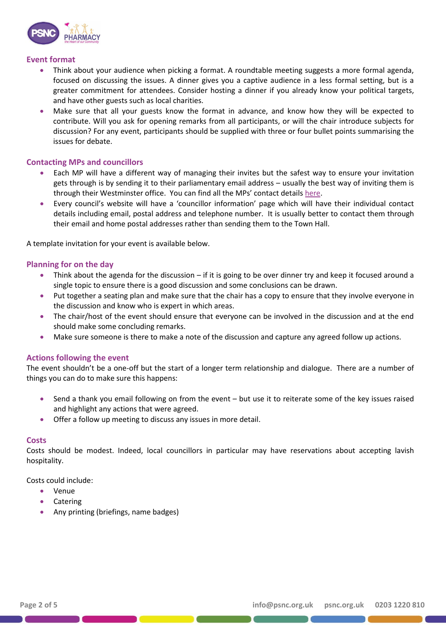

#### **Event format**

- Think about your audience when picking a format. A roundtable meeting suggests a more formal agenda, focused on discussing the issues. A dinner gives you a captive audience in a less formal setting, but is a greater commitment for attendees. Consider hosting a dinner if you already know your political targets, and have other guests such as local charities.
- Make sure that all your guests know the format in advance, and know how they will be expected to contribute. Will you ask for opening remarks from all participants, or will the chair introduce subjects for discussion? For any event, participants should be supplied with three or four bullet points summarising the issues for debate.

#### **Contacting MPs and councillors**

- Each MP will have a different way of managing their invites but the safest way to ensure your invitation gets through is by sending it to their parliamentary email address – usually the best way of inviting them is through their Westminster office. You can find all the MPs' contact details [here.](http://www.parliament.uk/mps-lords-and-offices/mps/)
- Every council's website will have a 'councillor information' page which will have their individual contact details including email, postal address and telephone number. It is usually better to contact them through their email and home postal addresses rather than sending them to the Town Hall.

A template invitation for your event is available below.

#### **Planning for on the day**

- Think about the agenda for the discussion if it is going to be over dinner try and keep it focused around a single topic to ensure there is a good discussion and some conclusions can be drawn.
- Put together a seating plan and make sure that the chair has a copy to ensure that they involve everyone in the discussion and know who is expert in which areas.
- The chair/host of the event should ensure that everyone can be involved in the discussion and at the end should make some concluding remarks.
- Make sure someone is there to make a note of the discussion and capture any agreed follow up actions.

#### **Actions following the event**

The event shouldn't be a one-off but the start of a longer term relationship and dialogue. There are a number of things you can do to make sure this happens:

- Send a thank you email following on from the event but use it to reiterate some of the key issues raised and highlight any actions that were agreed.
- Offer a follow up meeting to discuss any issues in more detail.

#### **Costs**

Costs should be modest. Indeed, local councillors in particular may have reservations about accepting lavish hospitality.

Costs could include:

- Venue
- Catering
- Any printing (briefings, name badges)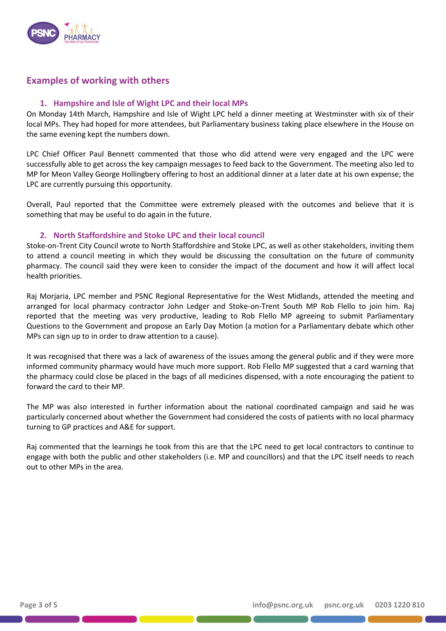

### **Examples of working with others**

#### **1. Hampshire and Isle of Wight LPC and their local MPs**

On Monday 14th March, Hampshire and Isle of Wight LPC held a dinner meeting at Westminster with six of their local MPs. They had hoped for more attendees, but Parliamentary business taking place elsewhere in the House on the same evening kept the numbers down.

LPC Chief Officer Paul Bennett commented that those who did attend were very engaged and the LPC were successfully able to get across the key campaign messages to feed back to the Government. The meeting also led to MP for Meon Valley George Hollingbery offering to host an additional dinner at a later date at his own expense; the LPC are currently pursuing this opportunity.

Overall, Paul reported that the Committee were extremely pleased with the outcomes and believe that it is something that may be useful to do again in the future.

#### **2. North Staffordshire and Stoke LPC and their local council**

Stoke-on-Trent City Council wrote to North Staffordshire and Stoke LPC, as well as other stakeholders, inviting them to attend a council meeting in which they would be discussing the consultation on the future of community pharmacy. The council said they were keen to consider the impact of the document and how it will affect local health priorities.

Raj Morjaria, LPC member and PSNC Regional Representative for the West Midlands, attended the meeting and arranged for local pharmacy contractor John Ledger and Stoke-on-Trent South MP Rob Flello to join him. Raj reported that the meeting was very productive, leading to Rob Flello MP agreeing to submit Parliamentary Questions to the Government and propose an Early Day Motion (a motion for a Parliamentary debate which other MPs can sign up to in order to draw attention to a cause).

It was recognised that there was a lack of awareness of the issues among the general public and if they were more informed community pharmacy would have much more support. Rob Flello MP suggested that a card warning that the pharmacy could close be placed in the bags of all medicines dispensed, with a note encouraging the patient to forward the card to their MP.

The MP was also interested in further information about the national coordinated campaign and said he was particularly concerned about whether the Government had considered the costs of patients with no local pharmacy turning to GP practices and A&E for support.

Raj commented that the learnings he took from this are that the LPC need to get local contractors to continue to engage with both the public and other stakeholders (i.e. MP and councillors) and that the LPC itself needs to reach out to other MPs in the area.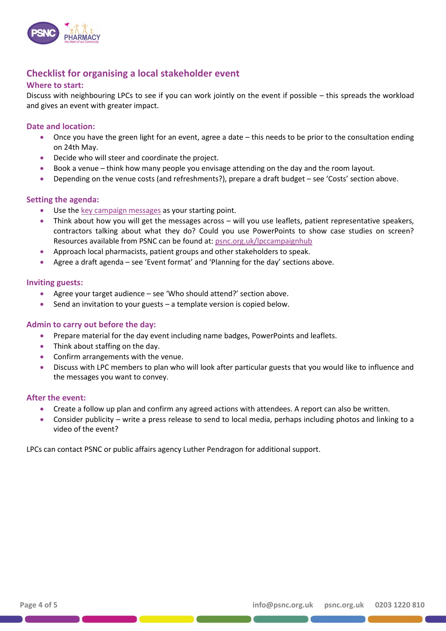

## **Checklist for organising a local stakeholder event**

#### **Where to start:**

Discuss with neighbouring LPCs to see if you can work jointly on the event if possible – this spreads the workload and gives an event with greater impact.

#### **Date and location:**

- Once you have the green light for an event, agree a date this needs to be prior to the consultation ending on 24th May.
- Decide who will steer and coordinate the project.
- Book a venue think how many people you envisage attending on the day and the room layout.
- Depending on the venue costs (and refreshments?), prepare a draft budget see 'Costs' section above.

#### **Setting the agenda:**

- Use the [key campaign messages](http://psnc.org.uk/wp-content/uploads/2013/04/Key-campaign-messages.pdf) as your starting point.
- Think about how you will get the messages across will you use leaflets, patient representative speakers, contractors talking about what they do? Could you use PowerPoints to show case studies on screen? Resources available from PSNC can be found at: [psnc.org.uk/lpccampaignhub](http://psnc.org.uk/lpccampaignhub)
- Approach local pharmacists, patient groups and other stakeholders to speak.
- Agree a draft agenda see 'Event format' and 'Planning for the day' sections above.

#### **Inviting guests:**

- Agree your target audience see 'Who should attend?' section above.
- Send an invitation to your guests  $-$  a template version is copied below.

#### **Admin to carry out before the day:**

- Prepare material for the day event including name badges, PowerPoints and leaflets.
- Think about staffing on the day.
- Confirm arrangements with the venue.
- Discuss with LPC members to plan who will look after particular guests that you would like to influence and the messages you want to convey.

#### **After the event:**

- Create a follow up plan and confirm any agreed actions with attendees. A report can also be written.
- Consider publicity write a press release to send to local media, perhaps including photos and linking to a video of the event?

LPCs can contact PSNC or public affairs agency Luther Pendragon for additional support.